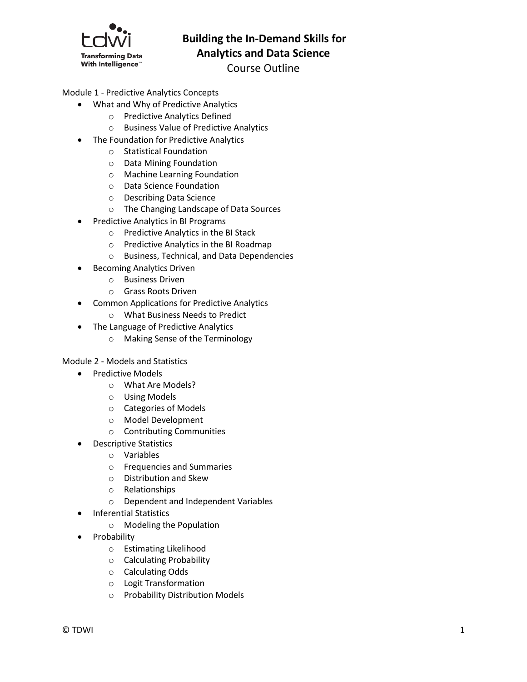

## **Building the In-Demand Skills for Analytics and Data Science**

# Course Outline

## Module 1 - Predictive Analytics Concepts

- What and Why of Predictive Analytics
	- o Predictive Analytics Defined
	- o Business Value of Predictive Analytics
- The Foundation for Predictive Analytics
	- o Statistical Foundation
	- o Data Mining Foundation
	- o Machine Learning Foundation
	- o Data Science Foundation
	- o Describing Data Science
	- o The Changing Landscape of Data Sources
- Predictive Analytics in BI Programs
	- o Predictive Analytics in the BI Stack
	- o Predictive Analytics in the BI Roadmap
	- o Business, Technical, and Data Dependencies
- Becoming Analytics Driven
	- o Business Driven
	- o Grass Roots Driven
- Common Applications for Predictive Analytics
	- o What Business Needs to Predict
- The Language of Predictive Analytics
	- o Making Sense of the Terminology

Module 2 - Models and Statistics

- Predictive Models
	- o What Are Models?
	- o Using Models
	- o Categories of Models
	- o Model Development
	- o Contributing Communities
- Descriptive Statistics
	- o Variables
	- o Frequencies and Summaries
	- o Distribution and Skew
	- o Relationships
	- o Dependent and Independent Variables
	- Inferential Statistics
		- o Modeling the Population
- Probability
	- o Estimating Likelihood
	- o Calculating Probability
	- o Calculating Odds
	- o Logit Transformation
	- o Probability Distribution Models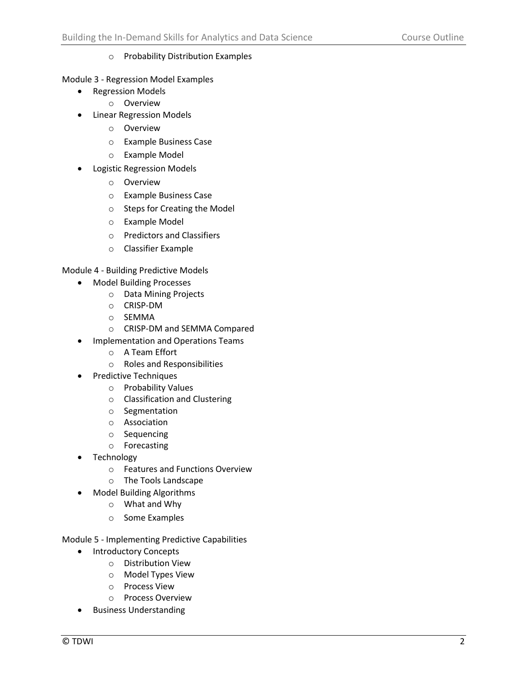## o Probability Distribution Examples

Module 3 - Regression Model Examples

- Regression Models
	- o Overview
- Linear Regression Models
	- o Overview
	- o Example Business Case
	- o Example Model
- Logistic Regression Models
	- o Overview
	- o Example Business Case
	- o Steps for Creating the Model
	- o Example Model
	- o Predictors and Classifiers
	- o Classifier Example

Module 4 - Building Predictive Models

- Model Building Processes
	- o Data Mining Projects
	- o CRISP-DM
	- o SEMMA
	- o CRISP-DM and SEMMA Compared
- **•** Implementation and Operations Teams
	- o A Team Effort
	- o Roles and Responsibilities
- Predictive Techniques
	- o Probability Values
	- o Classification and Clustering
	- o Segmentation
	- o Association
	- o Sequencing
	- o Forecasting
- Technology
	- o Features and Functions Overview
	- o The Tools Landscape
- Model Building Algorithms
	- o What and Why
	- o Some Examples

Module 5 - Implementing Predictive Capabilities

- Introductory Concepts
	- o Distribution View
	- o Model Types View
	- o Process View
	- o Process Overview
- **•** Business Understanding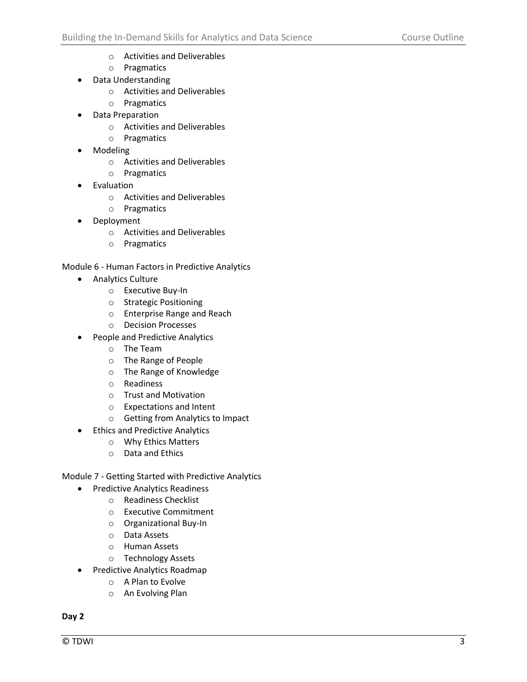- o Activities and Deliverables
- o Pragmatics
- Data Understanding
	- o Activities and Deliverables
	- o Pragmatics
- Data Preparation
	- o Activities and Deliverables
	- o Pragmatics
- Modeling
	- o Activities and Deliverables
	- o Pragmatics
- Evaluation
	- o Activities and Deliverables
	- o Pragmatics
- Deployment
	- o Activities and Deliverables
	- o Pragmatics

Module 6 - Human Factors in Predictive Analytics

- **•** Analytics Culture
	- o Executive Buy-In
	- o Strategic Positioning
	- o Enterprise Range and Reach
	- o Decision Processes
	- People and Predictive Analytics
		- o The Team
		- o The Range of People
		- o The Range of Knowledge
		- o Readiness
		- o Trust and Motivation
		- o Expectations and Intent
		- o Getting from Analytics to Impact
- Ethics and Predictive Analytics
	- o Why Ethics Matters
	- o Data and Ethics

Module 7 - Getting Started with Predictive Analytics

- Predictive Analytics Readiness
	- o Readiness Checklist
	- o Executive Commitment
	- o Organizational Buy-In
	- o Data Assets
	- o Human Assets
	- o Technology Assets
- Predictive Analytics Roadmap
	- o A Plan to Evolve
	- o An Evolving Plan

**Day 2**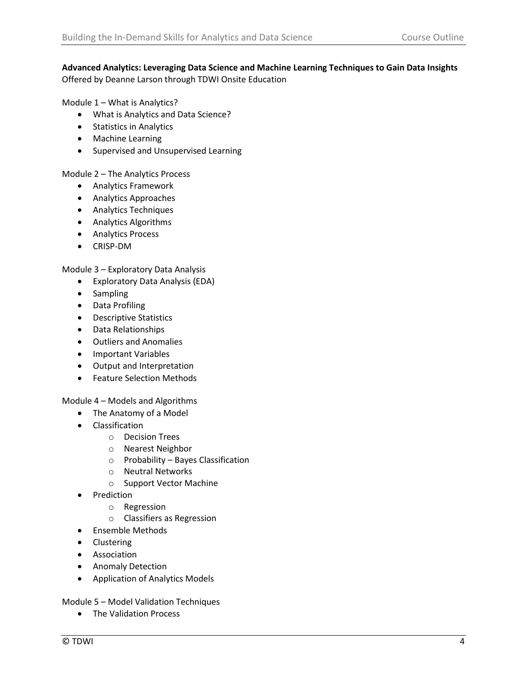## **Advanced Analytics: Leveraging Data Science and Machine Learning Techniques to Gain Data Insights** Offered by Deanne Larson through TDWI Onsite Education

Module 1 – What is Analytics?

- What is Analytics and Data Science?
- **•** Statistics in Analytics
- Machine Learning
- **•** Supervised and Unsupervised Learning

Module 2 – The Analytics Process

- Analytics Framework
- Analytics Approaches
- Analytics Techniques
- Analytics Algorithms
- Analytics Process
- CRISP-DM

Module 3 – Exploratory Data Analysis

- Exploratory Data Analysis (EDA)
- Sampling
- Data Profiling
- Descriptive Statistics
- Data Relationships
- Outliers and Anomalies
- Important Variables
- Output and Interpretation
- Feature Selection Methods

Module 4 – Models and Algorithms

- The Anatomy of a Model
- Classification
	- o Decision Trees
	- o Nearest Neighbor
	- o Probability Bayes Classification
	- o Neutral Networks
	- o Support Vector Machine
- Prediction
	- o Regression
	- o Classifiers as Regression
- **•** Ensemble Methods
- Clustering
- **•** Association
- **•** Anomaly Detection
- Application of Analytics Models

Module 5 – Model Validation Techniques

• The Validation Process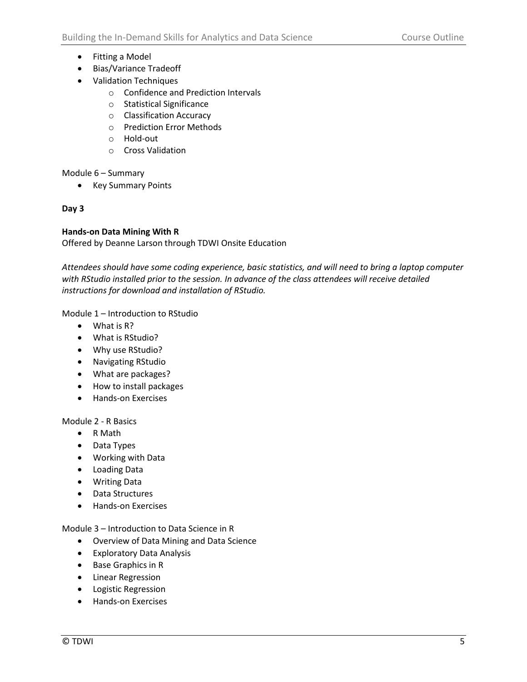- Fitting a Model
- Bias/Variance Tradeoff
- Validation Techniques
	- o Confidence and Prediction Intervals
	- o Statistical Significance
	- o Classification Accuracy
	- o Prediction Error Methods
	- o Hold-out
	- o Cross Validation

Module 6 – Summary

• Key Summary Points

## **Day 3**

## **Hands-on Data Mining With R**

Offered by Deanne Larson through TDWI Onsite Education

*Attendees should have some coding experience, basic statistics, and will need to bring a laptop computer with RStudio installed prior to the session. In advance of the class attendees will receive detailed instructions for download and installation of RStudio.*

Module 1 – Introduction to RStudio

- What is R?
- What is RStudio?
- Why use RStudio?
- Navigating RStudio
- What are packages?
- How to install packages
- Hands-on Exercises

Module 2 - R Basics

- R Math
- Data Types
- Working with Data
- Loading Data
- Writing Data
- Data Structures
- Hands-on Exercises

Module 3 – Introduction to Data Science in R

- Overview of Data Mining and Data Science
- Exploratory Data Analysis
- Base Graphics in R
- Linear Regression
- Logistic Regression
- **•** Hands-on Exercises